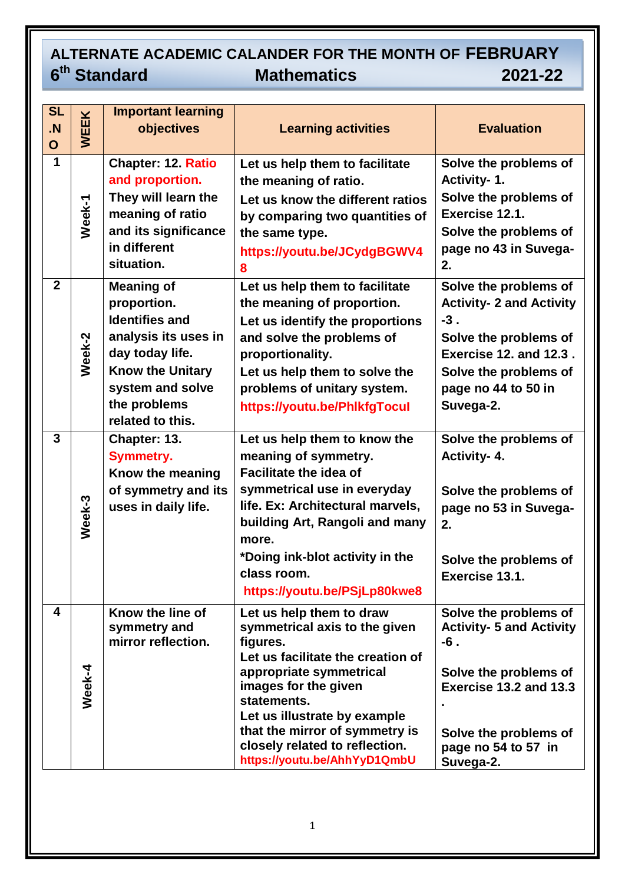## **ALTERNATE ACADEMIC CALANDER FOR THE MONTH OF FEBRUARY**  6<sup>th</sup> Standard **the Mathematics 2021-22**

| <b>SL</b><br>$\overline{N}$<br>$\mathbf O$ | <b>WEEK</b> | <b>Important learning</b><br>objectives                                                                                                                                                 | <b>Learning activities</b>                                                                                                                                                                                                                                                                                       | <b>Evaluation</b>                                                                                                                                                                        |
|--------------------------------------------|-------------|-----------------------------------------------------------------------------------------------------------------------------------------------------------------------------------------|------------------------------------------------------------------------------------------------------------------------------------------------------------------------------------------------------------------------------------------------------------------------------------------------------------------|------------------------------------------------------------------------------------------------------------------------------------------------------------------------------------------|
| $\mathbf 1$                                | Week-1      | Chapter: 12. Ratio<br>and proportion.<br>They will learn the<br>meaning of ratio<br>and its significance<br>in different<br>situation.                                                  | Let us help them to facilitate<br>the meaning of ratio.<br>Let us know the different ratios<br>by comparing two quantities of<br>the same type.<br>https://youtu.be/JCydgBGWV4<br>8                                                                                                                              | Solve the problems of<br>Activity-1.<br>Solve the problems of<br>Exercise 12.1.<br>Solve the problems of<br>page no 43 in Suvega-<br>2.                                                  |
| $\overline{2}$                             | Week-2      | <b>Meaning of</b><br>proportion.<br><b>Identifies and</b><br>analysis its uses in<br>day today life.<br><b>Know the Unitary</b><br>system and solve<br>the problems<br>related to this. | Let us help them to facilitate<br>the meaning of proportion.<br>Let us identify the proportions<br>and solve the problems of<br>proportionality.<br>Let us help them to solve the<br>problems of unitary system.<br>https://youtu.be/PhlkfgTocul                                                                 | Solve the problems of<br><b>Activity- 2 and Activity</b><br>$-3.$<br>Solve the problems of<br><b>Exercise 12. and 12.3.</b><br>Solve the problems of<br>page no 44 to 50 in<br>Suvega-2. |
| $\mathbf{3}$                               | Week-3      | Chapter: 13.<br><b>Symmetry.</b><br>Know the meaning<br>of symmetry and its<br>uses in daily life.                                                                                      | Let us help them to know the<br>meaning of symmetry.<br><b>Facilitate the idea of</b><br>symmetrical use in everyday<br>life. Ex: Architectural marvels,<br>building Art, Rangoli and many<br>more.<br>*Doing ink-blot activity in the<br>class room.<br>https://youtu.be/PSjLp80kwe8                            | Solve the problems of<br>Activity- 4.<br>Solve the problems of<br>page no 53 in Suvega-<br>2.<br>Solve the problems of<br>Exercise 13.1.                                                 |
| 4                                          | Week-4      | Know the line of<br>symmetry and<br>mirror reflection.                                                                                                                                  | Let us help them to draw<br>symmetrical axis to the given<br>figures.<br>Let us facilitate the creation of<br>appropriate symmetrical<br>images for the given<br>statements.<br>Let us illustrate by example<br>that the mirror of symmetry is<br>closely related to reflection.<br>https://youtu.be/AhhYyD1QmbU | Solve the problems of<br><b>Activity- 5 and Activity</b><br>$-6$ .<br>Solve the problems of<br>Exercise 13.2 and 13.3<br>Solve the problems of<br>page no 54 to 57 in<br>Suvega-2.       |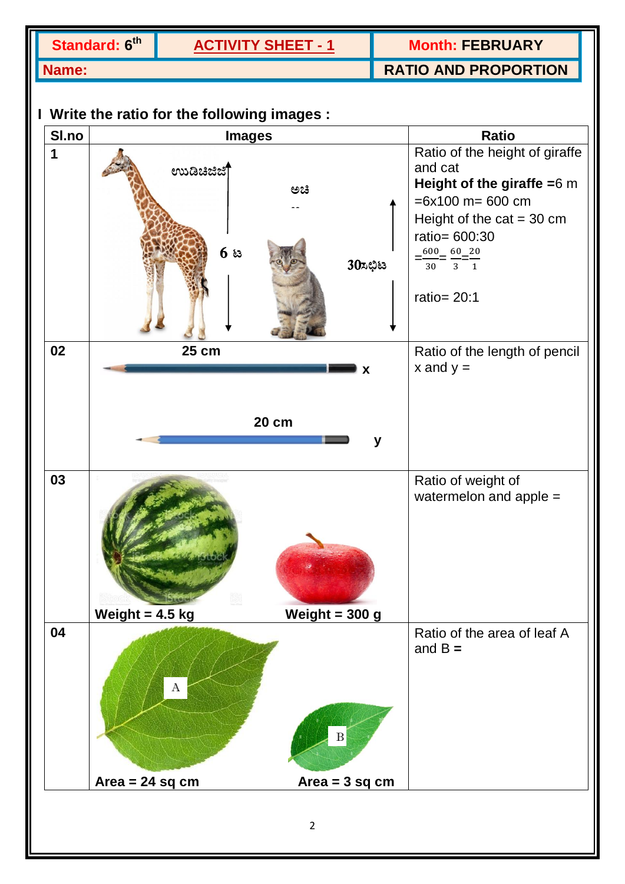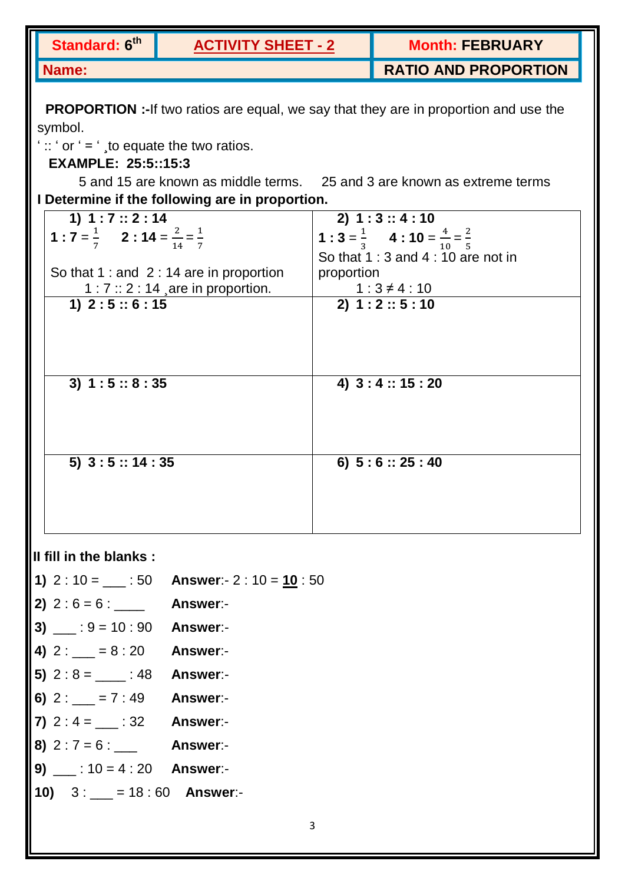| Standard: 6 <sup>th</sup>                                   | <b>ACTIVITY SHEET - 2</b>                                                                   |                                       | <b>Month: FEBRUARY</b>                                                  |  |  |  |
|-------------------------------------------------------------|---------------------------------------------------------------------------------------------|---------------------------------------|-------------------------------------------------------------------------|--|--|--|
| <b>Name:</b>                                                |                                                                                             |                                       | <b>RATIO AND PROPORTION</b>                                             |  |  |  |
|                                                             | <b>PROPORTION</b> :-If two ratios are equal, we say that they are in proportion and use the |                                       |                                                                         |  |  |  |
| symbol.                                                     |                                                                                             |                                       |                                                                         |  |  |  |
| ":: ' or ' = ', to equate the two ratios.                   |                                                                                             |                                       |                                                                         |  |  |  |
| <b>EXAMPLE: 25:5::15:3</b>                                  |                                                                                             |                                       |                                                                         |  |  |  |
|                                                             |                                                                                             |                                       | 5 and 15 are known as middle terms. 25 and 3 are known as extreme terms |  |  |  |
|                                                             | I Determine if the following are in proportion.                                             |                                       |                                                                         |  |  |  |
| 1) $1:7::2:14$                                              |                                                                                             |                                       | 2) 1:3 :: 4:10                                                          |  |  |  |
| 1 : $7 = \frac{1}{7}$ 2 : $14 = \frac{2}{14} = \frac{1}{7}$ |                                                                                             |                                       | 1 : $3 = \frac{1}{3}$ 4 : $10 = \frac{4}{10} = \frac{2}{5}$             |  |  |  |
|                                                             |                                                                                             |                                       | So that $1:3$ and $4:10$ are not in                                     |  |  |  |
|                                                             | So that $1:$ and $2:$ 14 are in proportion                                                  | proportion                            |                                                                         |  |  |  |
|                                                             | $1:7::2:14$ are in proportion.                                                              |                                       |                                                                         |  |  |  |
| 1) $2:5::6:15$                                              |                                                                                             | $1:3 \neq 4:10$<br>2) 1 : 2 :: 5 : 10 |                                                                         |  |  |  |
|                                                             |                                                                                             |                                       |                                                                         |  |  |  |
|                                                             |                                                                                             |                                       |                                                                         |  |  |  |
|                                                             |                                                                                             |                                       |                                                                         |  |  |  |
| 3) $1:5::8:35$                                              |                                                                                             |                                       | 4) $3:4::15:20$                                                         |  |  |  |
|                                                             |                                                                                             |                                       |                                                                         |  |  |  |
|                                                             |                                                                                             |                                       |                                                                         |  |  |  |
|                                                             |                                                                                             |                                       |                                                                         |  |  |  |
|                                                             |                                                                                             |                                       |                                                                         |  |  |  |
| $5)$ 3 : 5 :: 14 : 35                                       |                                                                                             |                                       | 6) $5:6::25:40$                                                         |  |  |  |
|                                                             |                                                                                             |                                       |                                                                         |  |  |  |
|                                                             |                                                                                             |                                       |                                                                         |  |  |  |
|                                                             |                                                                                             |                                       |                                                                         |  |  |  |
|                                                             |                                                                                             |                                       |                                                                         |  |  |  |

## **II fill in the blanks :**

- **1)** 2 : 10 = \_\_\_ : 50 **Answer**:- 2 : 10 =  $\frac{10}{10}$  : 50
- **2)** 2 : 6 = 6 : \_\_\_\_ **Answer**:-
- **3)** \_\_\_ : 9 = 10 : 90 **Answer**:-
- **4)** 2 : \_\_\_ = 8 : 20 **Answer**:-
- **5)** 2 : 8 = \_\_\_\_ : 48 **Answer**:-
- **6)** 2 : \_\_\_ = 7 : 49 **Answer**:-
- **7)** 2 : 4 = \_\_\_ : 32 **Answer**:-
- **8)** 2 : 7 = 6 : \_\_\_ **Answer**:-
- **9)** \_\_\_ : 10 = 4 : 20 **Answer**:-
- **10)** 3 : \_\_\_ = 18 : 60 **Answer**:-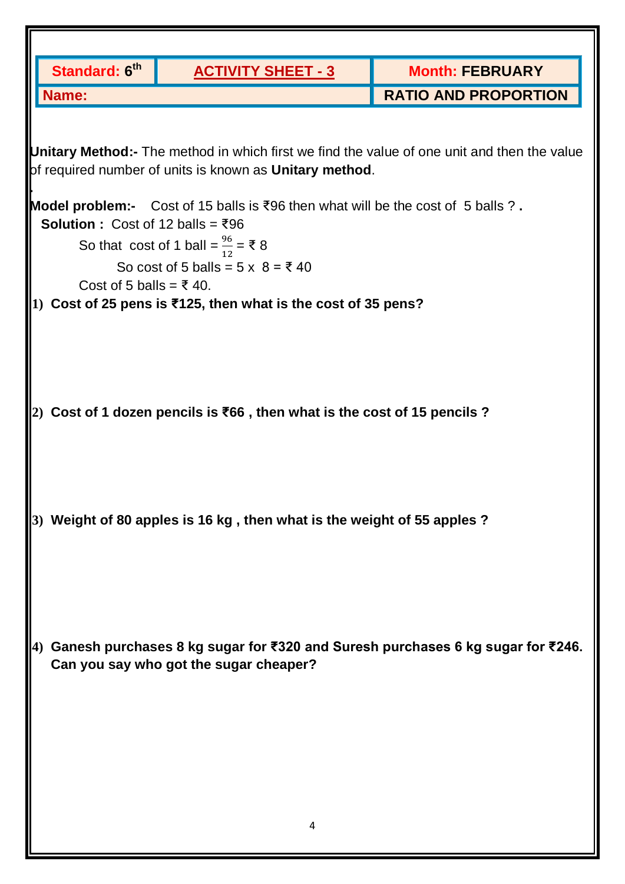|            | Standard: 6 <sup>th</sup>                                                                                                                              | <b>ACTIVITY SHEET - 3</b>                                                               | <b>Month: FEBRUARY</b>                                                         |  |  |  |  |
|------------|--------------------------------------------------------------------------------------------------------------------------------------------------------|-----------------------------------------------------------------------------------------|--------------------------------------------------------------------------------|--|--|--|--|
|            | <b>Name:</b>                                                                                                                                           |                                                                                         | <b>RATIO AND PROPORTION</b>                                                    |  |  |  |  |
|            |                                                                                                                                                        |                                                                                         |                                                                                |  |  |  |  |
|            | Unitary Method:- The method in which first we find the value of one unit and then the value<br>of required number of units is known as Unitary method. |                                                                                         |                                                                                |  |  |  |  |
|            |                                                                                                                                                        | <b>Model problem:-</b> Cost of 15 balls is ₹96 then what will be the cost of 5 balls ?. |                                                                                |  |  |  |  |
|            | Solution : Cost of 12 balls = $\overline{3}96$                                                                                                         |                                                                                         |                                                                                |  |  |  |  |
|            |                                                                                                                                                        | So that cost of 1 ball = $\frac{96}{12}$ = ₹ 8                                          |                                                                                |  |  |  |  |
|            | Cost of 5 balls = $\overline{z}$ 40.                                                                                                                   | So cost of 5 balls = $5 \times 8 = 540$                                                 |                                                                                |  |  |  |  |
|            |                                                                                                                                                        | 1) Cost of 25 pens is ₹125, then what is the cost of 35 pens?                           |                                                                                |  |  |  |  |
|            |                                                                                                                                                        |                                                                                         |                                                                                |  |  |  |  |
|            |                                                                                                                                                        |                                                                                         |                                                                                |  |  |  |  |
|            |                                                                                                                                                        |                                                                                         |                                                                                |  |  |  |  |
|            |                                                                                                                                                        |                                                                                         |                                                                                |  |  |  |  |
|            |                                                                                                                                                        | Cost of 1 dozen pencils is ₹66, then what is the cost of 15 pencils ?                   |                                                                                |  |  |  |  |
|            |                                                                                                                                                        |                                                                                         |                                                                                |  |  |  |  |
|            |                                                                                                                                                        |                                                                                         |                                                                                |  |  |  |  |
|            |                                                                                                                                                        |                                                                                         |                                                                                |  |  |  |  |
|            |                                                                                                                                                        | Weight of 80 apples is 16 kg, then what is the weight of 55 apples ?                    |                                                                                |  |  |  |  |
|            |                                                                                                                                                        |                                                                                         |                                                                                |  |  |  |  |
|            |                                                                                                                                                        |                                                                                         |                                                                                |  |  |  |  |
|            |                                                                                                                                                        |                                                                                         |                                                                                |  |  |  |  |
|            |                                                                                                                                                        |                                                                                         |                                                                                |  |  |  |  |
|            |                                                                                                                                                        |                                                                                         |                                                                                |  |  |  |  |
| <b>(4)</b> |                                                                                                                                                        |                                                                                         | Ganesh purchases 8 kg sugar for ₹320 and Suresh purchases 6 kg sugar for ₹246. |  |  |  |  |
|            |                                                                                                                                                        | Can you say who got the sugar cheaper?                                                  |                                                                                |  |  |  |  |
|            |                                                                                                                                                        |                                                                                         |                                                                                |  |  |  |  |
|            |                                                                                                                                                        |                                                                                         |                                                                                |  |  |  |  |
|            |                                                                                                                                                        |                                                                                         |                                                                                |  |  |  |  |
|            |                                                                                                                                                        |                                                                                         |                                                                                |  |  |  |  |
|            |                                                                                                                                                        |                                                                                         |                                                                                |  |  |  |  |
|            |                                                                                                                                                        | 4                                                                                       |                                                                                |  |  |  |  |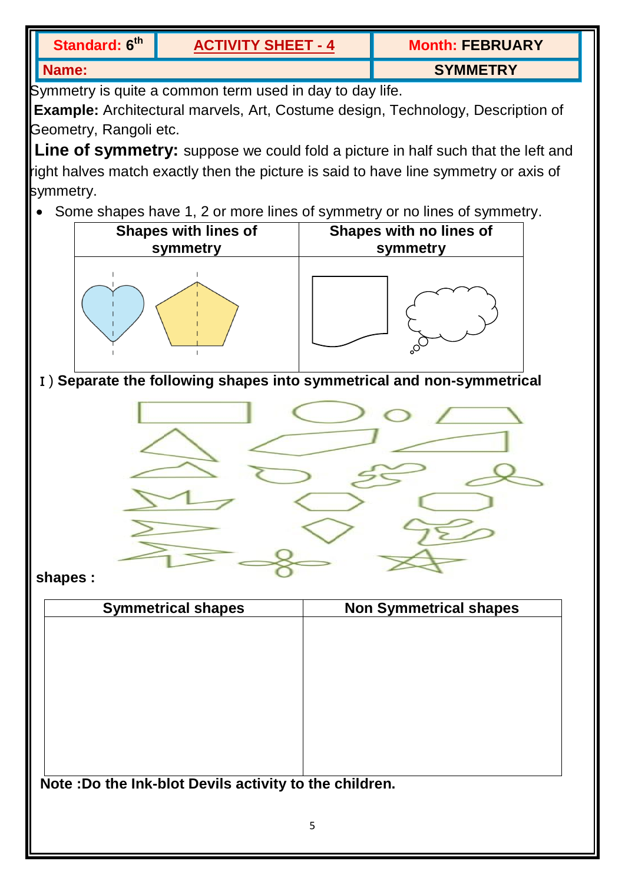| Standard: 6 <sup>th</sup> | <b>ACTIVITY SHEET - 4</b> | <b>Month: FEBRUARY</b> |
|---------------------------|---------------------------|------------------------|
| Name:                     |                           | <b>SYMMETRY</b>        |

Symmetry is quite a common term used in day to day life.

**Example:** Architectural marvels, Art, Costume design, Technology, Description of Geometry, Rangoli etc.

**Line of symmetry:** suppose we could fold a picture in half such that the left and right halves match exactly then the picture is said to have line symmetry or axis of symmetry.

• Some shapes have 1, 2 or more lines of symmetry or no lines of symmetry.



Ⅰ) **Separate the following shapes into symmetrical and non-symmetrical**



**shapes :**

| <b>Symmetrical shapes</b> | <b>Non Symmetrical shapes</b> |
|---------------------------|-------------------------------|
|                           |                               |
|                           |                               |
|                           |                               |
|                           |                               |
|                           |                               |
|                           |                               |
|                           |                               |
|                           |                               |

**Note :Do the Ink-blot Devils activity to the children.**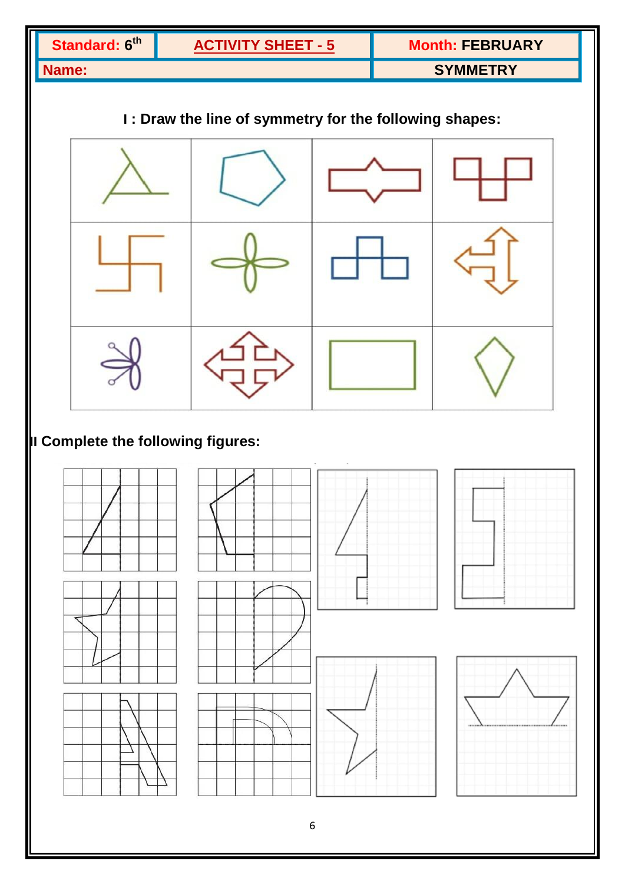| Standard: 6th                                          |  | <b>ACTIVITY SHEET - 5</b> |  |                 | <b>Month: FEBRUARY</b> |  |
|--------------------------------------------------------|--|---------------------------|--|-----------------|------------------------|--|
| Name:                                                  |  |                           |  | <b>SYMMETRY</b> |                        |  |
| I: Draw the line of symmetry for the following shapes: |  |                           |  |                 |                        |  |
|                                                        |  |                           |  |                 |                        |  |
|                                                        |  |                           |  |                 |                        |  |
|                                                        |  |                           |  |                 |                        |  |
| Il Complete the following figures:                     |  |                           |  |                 |                        |  |
|                                                        |  |                           |  |                 |                        |  |
|                                                        |  |                           |  |                 |                        |  |
| $\boldsymbol{6}$                                       |  |                           |  |                 |                        |  |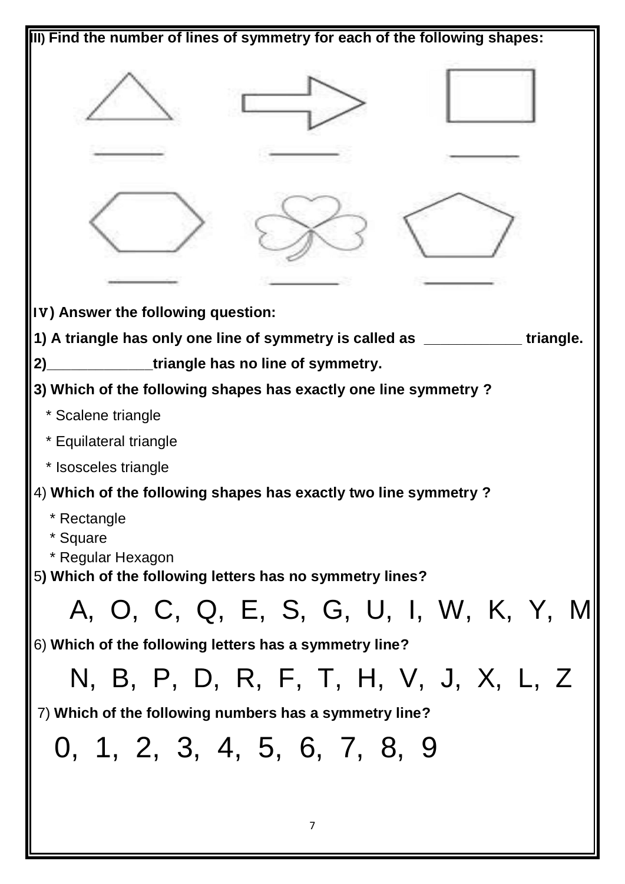